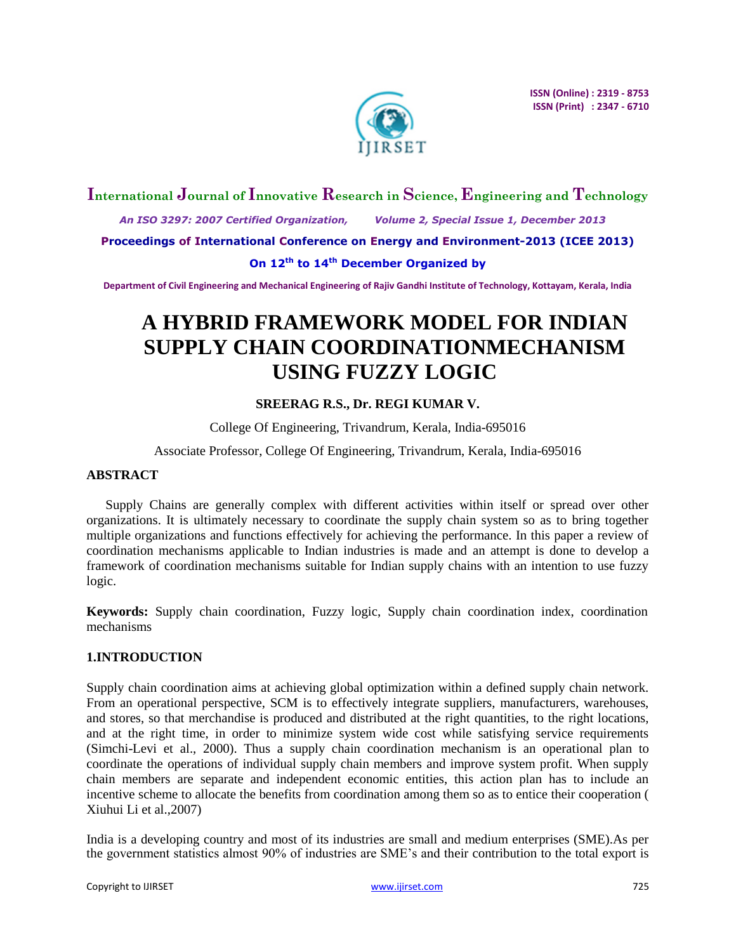

## **International Journal of Innovative Research in Science, Engineering and Technology**

 *An ISO 3297: 2007 Certified Organization, Volume 2, Special Issue 1, December 2013*

**Proceedings of International Conference on Energy and Environment-2013 (ICEE 2013)**

**On 12th to 14th December Organized by**

**Department of Civil Engineering and Mechanical Engineering of Rajiv Gandhi Institute of Technology, Kottayam, Kerala, India**

# **A HYBRID FRAMEWORK MODEL FOR INDIAN SUPPLY CHAIN COORDINATIONMECHANISM USING FUZZY LOGIC**

## **SREERAG R.S., Dr. REGI KUMAR V.**

College Of Engineering, Trivandrum, Kerala, India-695016

### Associate Professor, College Of Engineering, Trivandrum, Kerala, India-695016

## **ABSTRACT**

Supply Chains are generally complex with different activities within itself or spread over other organizations. It is ultimately necessary to coordinate the supply chain system so as to bring together multiple organizations and functions effectively for achieving the performance. In this paper a review of coordination mechanisms applicable to Indian industries is made and an attempt is done to develop a framework of coordination mechanisms suitable for Indian supply chains with an intention to use fuzzy logic.

**Keywords:** Supply chain coordination, Fuzzy logic, Supply chain coordination index, coordination mechanisms

### **1.INTRODUCTION**

Supply chain coordination aims at achieving global optimization within a defined supply chain network. From an operational perspective, SCM is to effectively integrate suppliers, manufacturers, warehouses, and stores, so that merchandise is produced and distributed at the right quantities, to the right locations, and at the right time, in order to minimize system wide cost while satisfying service requirements (Simchi-Levi et al., 2000). Thus a supply chain coordination mechanism is an operational plan to coordinate the operations of individual supply chain members and improve system profit. When supply chain members are separate and independent economic entities, this action plan has to include an incentive scheme to allocate the benefits from coordination among them so as to entice their cooperation ( Xiuhui Li et al.,2007)

India is a developing country and most of its industries are small and medium enterprises (SME).As per the government statistics almost 90% of industries are SME's and their contribution to the total export is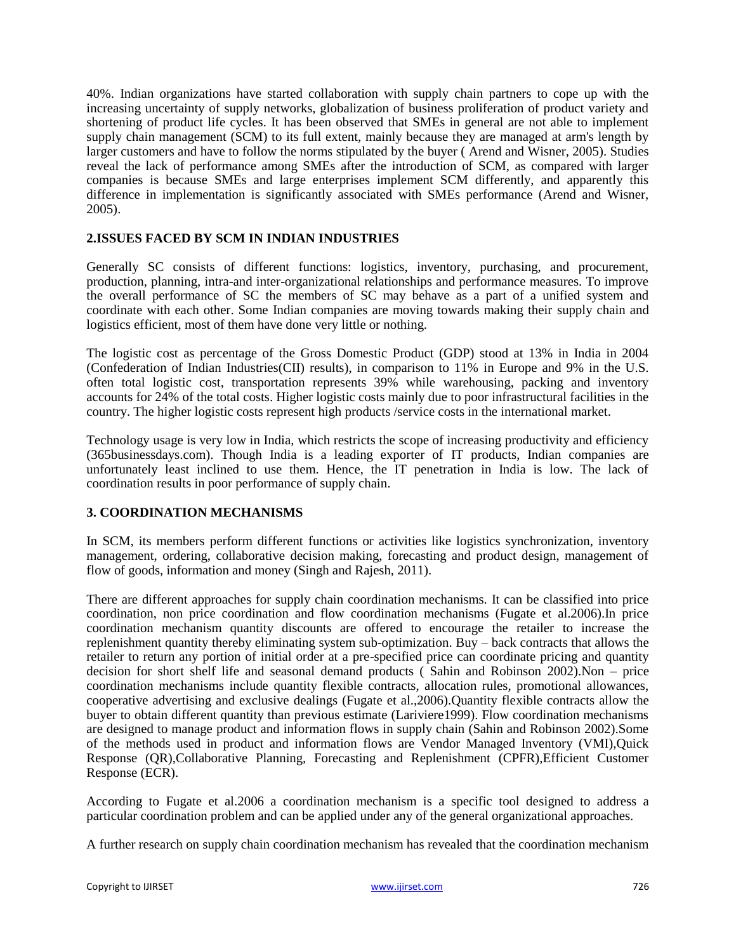40%. Indian organizations have started collaboration with supply chain partners to cope up with the increasing uncertainty of supply networks, globalization of business proliferation of product variety and shortening of product life cycles. It has been observed that SMEs in general are not able to implement supply chain management (SCM) to its full extent, mainly because they are managed at arm's length by larger customers and have to follow the norms stipulated by the buyer ( Arend and Wisner, 2005). Studies reveal the lack of performance among SMEs after the introduction of SCM, as compared with larger companies is because SMEs and large enterprises implement SCM differently, and apparently this difference in implementation is significantly associated with SMEs performance (Arend and Wisner, 2005).

## **2.ISSUES FACED BY SCM IN INDIAN INDUSTRIES**

Generally SC consists of different functions: logistics, inventory, purchasing, and procurement, production, planning, intra-and inter-organizational relationships and performance measures. To improve the overall performance of SC the members of SC may behave as a part of a unified system and coordinate with each other. Some Indian companies are moving towards making their supply chain and logistics efficient, most of them have done very little or nothing.

The logistic cost as percentage of the Gross Domestic Product (GDP) stood at 13% in India in 2004 (Confederation of Indian Industries(CII) results), in comparison to 11% in Europe and 9% in the U.S. often total logistic cost, transportation represents 39% while warehousing, packing and inventory accounts for 24% of the total costs. Higher logistic costs mainly due to poor infrastructural facilities in the country. The higher logistic costs represent high products /service costs in the international market.

Technology usage is very low in India, which restricts the scope of increasing productivity and efficiency (365businessdays.com). Though India is a leading exporter of IT products, Indian companies are unfortunately least inclined to use them. Hence, the IT penetration in India is low. The lack of coordination results in poor performance of supply chain.

### **3. COORDINATION MECHANISMS**

In SCM, its members perform different functions or activities like logistics synchronization, inventory management, ordering, collaborative decision making, forecasting and product design, management of flow of goods, information and money (Singh and Rajesh, 2011).

There are different approaches for supply chain coordination mechanisms. It can be classified into price coordination, non price coordination and flow coordination mechanisms (Fugate et al.2006).In price coordination mechanism quantity discounts are offered to encourage the retailer to increase the replenishment quantity thereby eliminating system sub-optimization. Buy – back contracts that allows the retailer to return any portion of initial order at a pre-specified price can coordinate pricing and quantity decision for short shelf life and seasonal demand products ( Sahin and Robinson 2002).Non – price coordination mechanisms include quantity flexible contracts, allocation rules, promotional allowances, cooperative advertising and exclusive dealings (Fugate et al.,2006).Quantity flexible contracts allow the buyer to obtain different quantity than previous estimate (Lariviere1999). Flow coordination mechanisms are designed to manage product and information flows in supply chain (Sahin and Robinson 2002).Some of the methods used in product and information flows are Vendor Managed Inventory (VMI),Quick Response (QR),Collaborative Planning, Forecasting and Replenishment (CPFR),Efficient Customer Response (ECR).

According to Fugate et al.2006 a coordination mechanism is a specific tool designed to address a particular coordination problem and can be applied under any of the general organizational approaches.

A further research on supply chain coordination mechanism has revealed that the coordination mechanism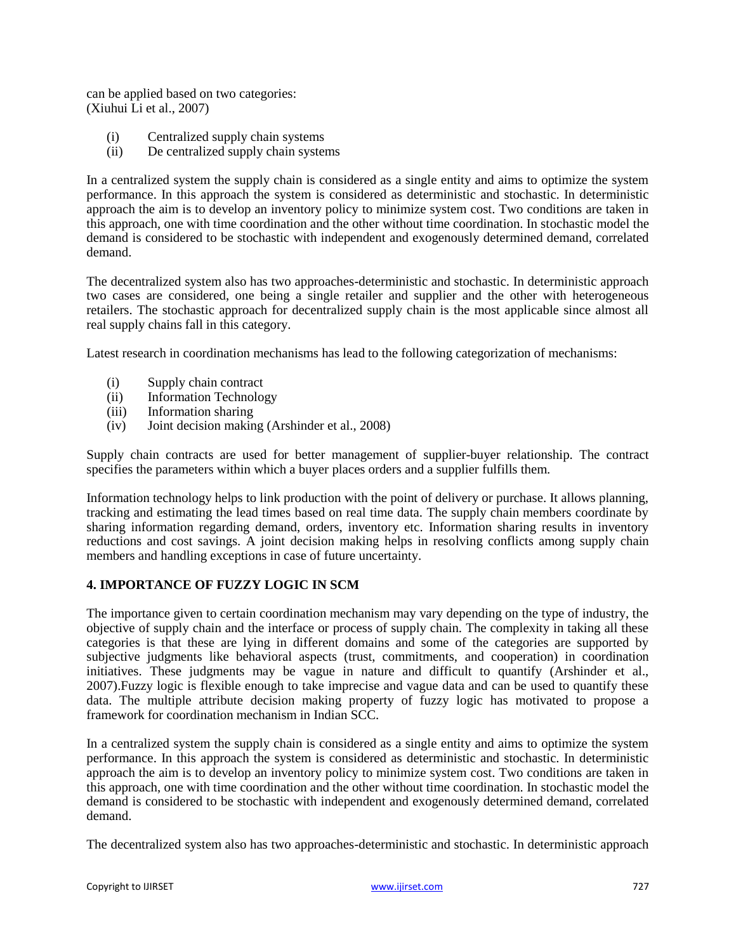can be applied based on two categories: (Xiuhui Li et al., 2007)

- (i) Centralized supply chain systems
- (ii) De centralized supply chain systems

In a centralized system the supply chain is considered as a single entity and aims to optimize the system performance. In this approach the system is considered as deterministic and stochastic. In deterministic approach the aim is to develop an inventory policy to minimize system cost. Two conditions are taken in this approach, one with time coordination and the other without time coordination. In stochastic model the demand is considered to be stochastic with independent and exogenously determined demand, correlated demand.

The decentralized system also has two approaches-deterministic and stochastic. In deterministic approach two cases are considered, one being a single retailer and supplier and the other with heterogeneous retailers. The stochastic approach for decentralized supply chain is the most applicable since almost all real supply chains fall in this category.

Latest research in coordination mechanisms has lead to the following categorization of mechanisms:

- (i) Supply chain contract
- (ii) Information Technology
- (iii) Information sharing
- (iv) Joint decision making (Arshinder et al., 2008)

Supply chain contracts are used for better management of supplier-buyer relationship. The contract specifies the parameters within which a buyer places orders and a supplier fulfills them.

Information technology helps to link production with the point of delivery or purchase. It allows planning, tracking and estimating the lead times based on real time data. The supply chain members coordinate by sharing information regarding demand, orders, inventory etc. Information sharing results in inventory reductions and cost savings. A joint decision making helps in resolving conflicts among supply chain members and handling exceptions in case of future uncertainty.

## **4. IMPORTANCE OF FUZZY LOGIC IN SCM**

The importance given to certain coordination mechanism may vary depending on the type of industry, the objective of supply chain and the interface or process of supply chain. The complexity in taking all these categories is that these are lying in different domains and some of the categories are supported by subjective judgments like behavioral aspects (trust, commitments, and cooperation) in coordination initiatives. These judgments may be vague in nature and difficult to quantify (Arshinder et al., 2007).Fuzzy logic is flexible enough to take imprecise and vague data and can be used to quantify these data. The multiple attribute decision making property of fuzzy logic has motivated to propose a framework for coordination mechanism in Indian SCC.

In a centralized system the supply chain is considered as a single entity and aims to optimize the system performance. In this approach the system is considered as deterministic and stochastic. In deterministic approach the aim is to develop an inventory policy to minimize system cost. Two conditions are taken in this approach, one with time coordination and the other without time coordination. In stochastic model the demand is considered to be stochastic with independent and exogenously determined demand, correlated demand.

The decentralized system also has two approaches-deterministic and stochastic. In deterministic approach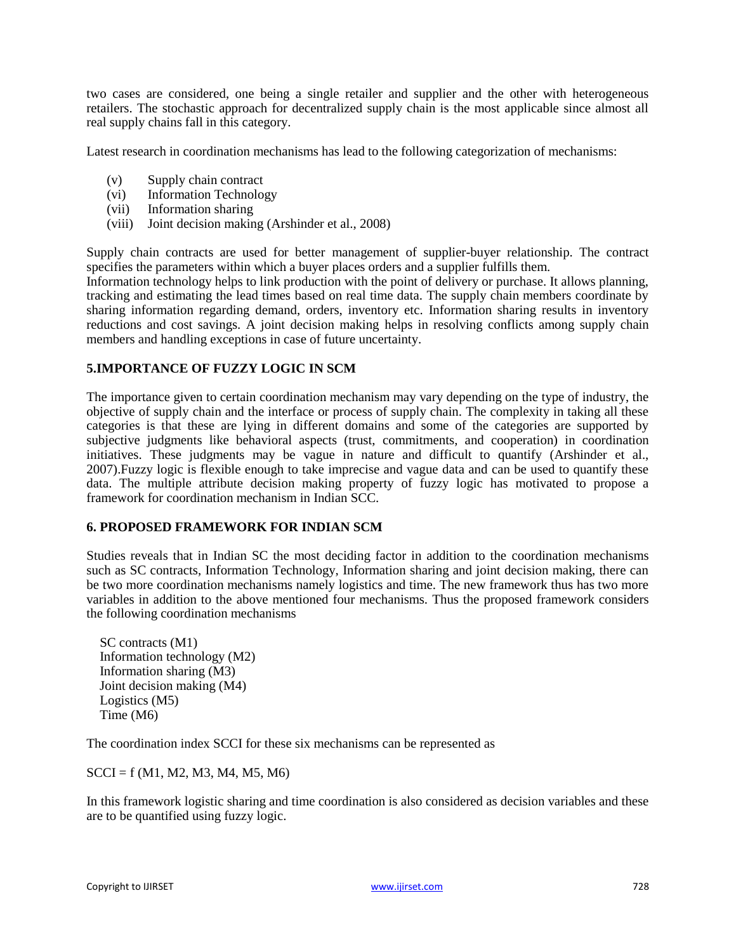two cases are considered, one being a single retailer and supplier and the other with heterogeneous retailers. The stochastic approach for decentralized supply chain is the most applicable since almost all real supply chains fall in this category.

Latest research in coordination mechanisms has lead to the following categorization of mechanisms:

- (v) Supply chain contract
- (vi) Information Technology
- (vii) Information sharing
- (viii) Joint decision making (Arshinder et al., 2008)

Supply chain contracts are used for better management of supplier-buyer relationship. The contract specifies the parameters within which a buyer places orders and a supplier fulfills them.

Information technology helps to link production with the point of delivery or purchase. It allows planning, tracking and estimating the lead times based on real time data. The supply chain members coordinate by sharing information regarding demand, orders, inventory etc. Information sharing results in inventory reductions and cost savings. A joint decision making helps in resolving conflicts among supply chain members and handling exceptions in case of future uncertainty.

### **5.IMPORTANCE OF FUZZY LOGIC IN SCM**

The importance given to certain coordination mechanism may vary depending on the type of industry, the objective of supply chain and the interface or process of supply chain. The complexity in taking all these categories is that these are lying in different domains and some of the categories are supported by subjective judgments like behavioral aspects (trust, commitments, and cooperation) in coordination initiatives. These judgments may be vague in nature and difficult to quantify (Arshinder et al., 2007).Fuzzy logic is flexible enough to take imprecise and vague data and can be used to quantify these data. The multiple attribute decision making property of fuzzy logic has motivated to propose a framework for coordination mechanism in Indian SCC.

#### **6. PROPOSED FRAMEWORK FOR INDIAN SCM**

Studies reveals that in Indian SC the most deciding factor in addition to the coordination mechanisms such as SC contracts, Information Technology, Information sharing and joint decision making, there can be two more coordination mechanisms namely logistics and time. The new framework thus has two more variables in addition to the above mentioned four mechanisms. Thus the proposed framework considers the following coordination mechanisms

 SC contracts (M1) Information technology (M2) Information sharing (M3) Joint decision making (M4) Logistics (M5) Time (M6)

The coordination index SCCI for these six mechanisms can be represented as

 $SCCI = f (M1, M2, M3, M4, M5, M6)$ 

In this framework logistic sharing and time coordination is also considered as decision variables and these are to be quantified using fuzzy logic.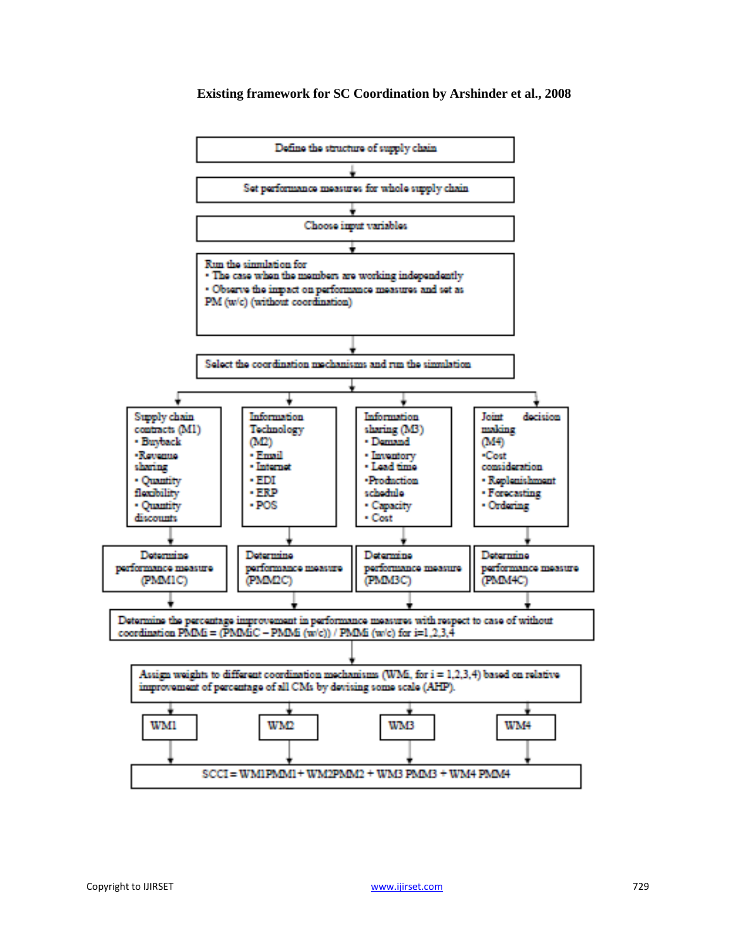

#### **Existing framework for SC Coordination by Arshinder et al., 2008**